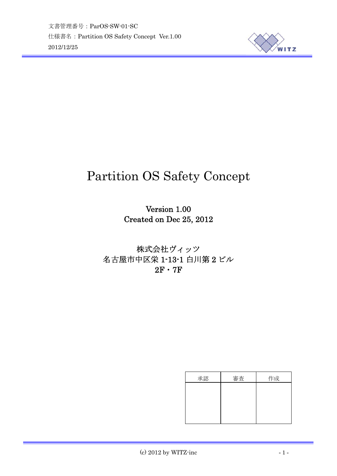

# Partition OS Safety Concept

Version 1.00 Created on Dec 25, 2012

株式会社ヴィッツ 名古屋市中区栄 1-13-1 白川第 2 ビル  $2F \cdot 7F$ 

| 承認 | 審査 | 作成 |
|----|----|----|
|    |    |    |
|    |    |    |
|    |    |    |
|    |    |    |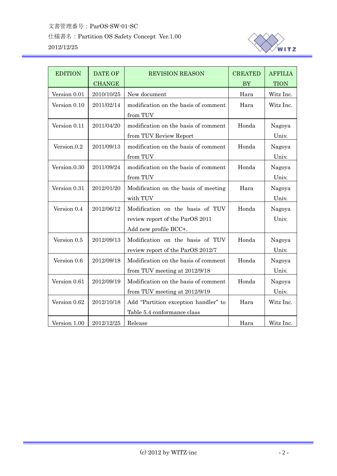

| <b>EDITION</b> | <b>DATE OF</b><br><b>CHANGE</b> | <b>REVISION REASON</b>                                                                       | <b>CREATED</b><br><b>BY</b> | <b>AFFILIA</b><br><b>TION</b> |
|----------------|---------------------------------|----------------------------------------------------------------------------------------------|-----------------------------|-------------------------------|
| Version 0.01   | 2010/10/25                      | New document                                                                                 | Hara                        | Witz Inc.                     |
| Version 0.10   | 2011/02/14                      | modification on the basis of comment<br>from TUV                                             | Hara                        | Witz Inc.                     |
| Version 0.11   | 2011/04/20                      | modification on the basis of comment<br>from TUV Review Report                               | Honda                       | Nagoya<br>Univ.               |
| Version.0.2    | 2011/09/13                      | modification on the basis of comment<br>from TUV                                             | Honda                       | Nagoya<br>Univ.               |
| Version.0.30   | 2011/09/24                      | modification on the basis of comment<br>from TUV                                             | Honda                       | Nagoya<br>Univ.               |
| Version 0.31   | 2012/01/20                      | Modification on the basis of meeting<br>with TUV                                             | Hara                        | Nagoya<br>Univ.               |
| Version 0.4    | 2012/06/12                      | Modification on the basis of TUV<br>review report of the ParOS 2011<br>Add new profile BCC+. | Honda                       | Nagoya<br>Univ.               |
| Version 0.5    | 2012/09/13                      | Modification on the basis of TUV<br>review report of the ParOS 2012/7                        | Honda                       | Nagoya<br>Univ.               |
| Version 0.6    | 2012/09/18                      | Honda<br>Modification on the basis of comment<br>from TUV meeting at 2012/9/18               |                             | Nagoya<br>Univ.               |
| Version 0.61   | 2012/09/19                      | Modification on the basis of comment<br>Honda<br>from TUV meeting at 2012/9/19               |                             | Nagoya<br>Univ.               |
| Version 0.62   | 2012/10/18                      | Add "Partition exception handler" to<br>Table 5.4 conformance class                          | Hara                        | Witz Inc.                     |
| Version 1.00   | 2012/12/25                      | Release                                                                                      | Hara                        | Witz Inc.                     |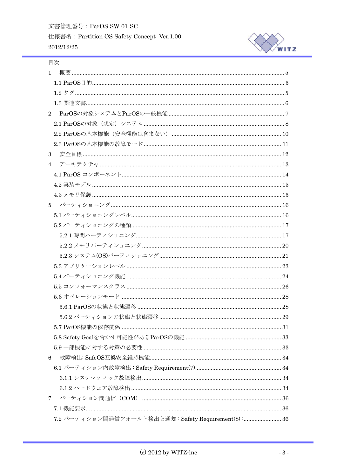文書管理番号: ParOS-SW-01-SC

仕様書名: Partition OS Safety Concept Ver.1.00 2012/12/25



## 目次

| $\mathbf{1}$                |                                                     |  |
|-----------------------------|-----------------------------------------------------|--|
|                             |                                                     |  |
|                             |                                                     |  |
|                             |                                                     |  |
| $\mathcal{D}_{\mathcal{L}}$ |                                                     |  |
|                             |                                                     |  |
|                             |                                                     |  |
|                             |                                                     |  |
| 3                           |                                                     |  |
| $\overline{4}$              |                                                     |  |
|                             |                                                     |  |
|                             |                                                     |  |
|                             |                                                     |  |
|                             |                                                     |  |
|                             |                                                     |  |
|                             |                                                     |  |
|                             |                                                     |  |
|                             |                                                     |  |
|                             |                                                     |  |
|                             |                                                     |  |
|                             |                                                     |  |
|                             |                                                     |  |
|                             |                                                     |  |
|                             |                                                     |  |
|                             |                                                     |  |
|                             |                                                     |  |
|                             |                                                     |  |
|                             |                                                     |  |
| 6                           |                                                     |  |
|                             |                                                     |  |
|                             |                                                     |  |
|                             |                                                     |  |
| $\mathbf 7$                 |                                                     |  |
|                             |                                                     |  |
|                             | 7.2 パーティション間通信フォールト検出と通知: Safety Requirement(8): 36 |  |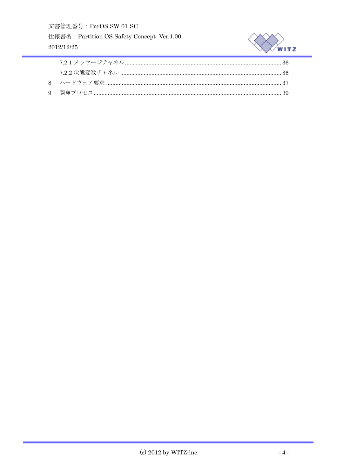文書管理番号: ParOS-SW-01-SC

仕様書名: Partition OS Safety Concept Ver.1.00 2012/12/25

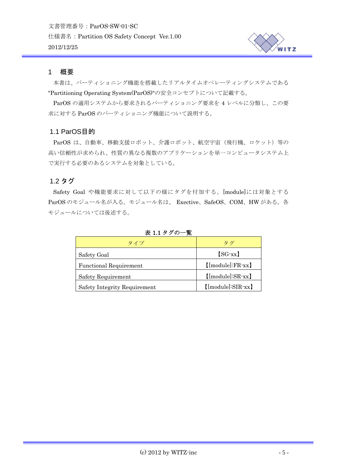

#### <span id="page-4-0"></span>1 概要

本書は、パーティショニング機能を搭載したリアルタイムオペレーティングシステムである "Partitioning Operating System(ParOS)"の安全コンセプトについて記載する。

ParOS の適用システムから要求されるパーティショニング要求を 4 レベルに分類し、この要 求に対する ParOS のパーティショニング機能について説明する。

## 1.1 ParOS目的

ParOS は、自動車、移動支援ロボット、介護ロボット、航空宇宙(飛行機、ロケット)等の 高い信頼性が求められ、性質の異なる複数のアプリケーションを単一コンピュータシステム上 で実行する必要のあるシステムを対象としている。

## 1.2 タグ

Safety Goal や機能要求に対して以下の様にタグを付加する。[module]には対象とする ParOS のモジュール名が入る。モジュール名は、 Exective、SafeOS、COM、HW がある。各 モジュールについては後述する。

| タイプ                           | タグ                                |  |  |  |
|-------------------------------|-----------------------------------|--|--|--|
| Safety Goal                   | $[SG-xx]$                         |  |  |  |
| <b>Functional Requirement</b> | $[\text{model:FR-xx}]$            |  |  |  |
| <b>Safety Requirement</b>     | $[\text{model:SR-xx}]$            |  |  |  |
| Safety Integrity Requirement  | $[\text{[module]}:\text{SIR-xx}]$ |  |  |  |

#### 表 1.1 タグの一覧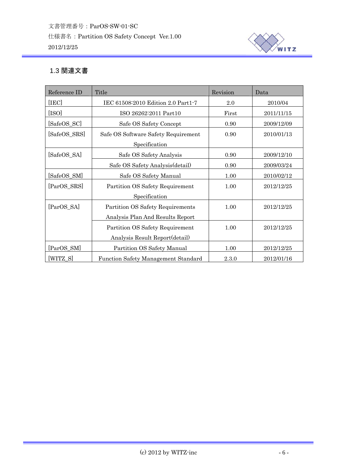

# <span id="page-5-0"></span>1.3 関連文書

| Reference ID                                   | Title                                      | Revision  | Data       |  |
|------------------------------------------------|--------------------------------------------|-----------|------------|--|
| [IEC]                                          | IEC 61508:2010 Edition 2.0 Part1-7         | 2.0       | 2010/04    |  |
| [ISO]                                          | ISO 26262:2011 Part10                      | First     | 2011/11/15 |  |
| [SafeOS_SC]                                    | Safe OS Safety Concept                     | 0.90      | 2009/12/09 |  |
| [SafeOS_SRS]                                   | Safe OS Software Safety Requirement        | 0.90      | 2010/01/13 |  |
|                                                | Specification                              |           |            |  |
| [SafeOS_SA]                                    | Safe OS Safety Analysis                    | 0.90      | 2009/12/10 |  |
|                                                | Safe OS Safety Analysis (detail)           | 0.90      | 2009/03/24 |  |
| [SafeOS_SM]                                    | Safe OS Safety Manual                      | 1.00      | 2010/02/12 |  |
| [ParOS_SRS]<br>Partition OS Safety Requirement |                                            | 1.00      | 2012/12/25 |  |
|                                                | Specification                              |           |            |  |
| [ParOS SA]                                     | Partition OS Safety Requirements           | 1.00      | 2012/12/25 |  |
|                                                | Analysis Plan And Results Report           |           |            |  |
|                                                | Partition OS Safety Requirement            | 1.00      | 2012/12/25 |  |
|                                                | Analysis Result Report(detail)             |           |            |  |
| [ParOS SM]                                     | Partition OS Safety Manual                 | 1.00      | 2012/12/25 |  |
| [WITZ_S]                                       | <b>Function Safety Management Standard</b> | $2.3.0\,$ | 2012/01/16 |  |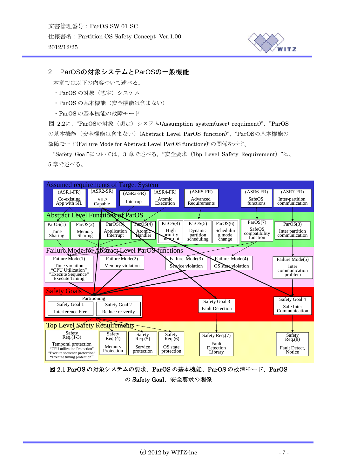

## <span id="page-6-0"></span>2 ParOSの対象システムとParOSの一般機能

本章では以下の内容ついて述べる。

- ・ParOS の対象(想定)システム
- ・ParOS の基本機能(安全機能は含まない)
- ・ParOS の基本機能の故障モード

図 2.2[に、](#page-8-0)"[ParOS](#page-8-0)[の対象\(想定\)システム](#page-8-0)[\(Assumption system\(user\) requiment\)"](#page-8-0)[、](#page-8-0)["ParOS](#page-8-0) [の基本機能\(安全機能は含まない\)](#page-8-0)[\(Abstract Level ParOS function\)"](#page-8-0)[、](#page-8-0)["ParOS](#page-8-0)[の基本機能の](#page-8-0) [故障モード](#page-8-0)[\(Failure Mode for Abstract Level ParOS functions\)"](#page-8-0)[の関係を示す。](#page-8-0)

["Safety Goal"](#page-8-0)[については、](#page-8-0)3 章で述べる。"安全要求(Top Level Safety Requirement)"は、 5 章で述べる。



図 2.1 ParOS の対象システムの要求、ParOS の基本機能、ParOS の故障モード、ParOS の Safety Goal、安全要求の関係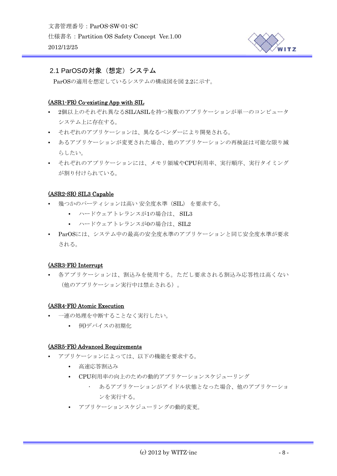

## <span id="page-7-0"></span>2.1 ParOSの対象 (想定) システム

ParOSの適用を想定しているシステムの構成図を[図](#page-8-0) [2.2](#page-8-0)に示す。

## (ASR1-FR) Co-existing App with SIL

- 2個以上のそれぞれ異なるSIL/ASILを持つ複数のアプリケーションが単一のコンピュータ システム上に存在する。
- それぞれのアプリケーションは、異なるベンダーにより開発される。
- あるアプリケーションが変更された場合、他のアプリケーションの再検証は可能な限り減 らしたい。
- それぞれのアプリケーションには、メモリ領域やCPU利用率、実行順序、実行タイミング が割り付けられている。

#### (ASR2-SR) SIL3 Capable

- 幾つかのパーティションは高い 安全度水準(SIL) を要求する。
	- ハードウェアトレランスが1の場合は、 SIL3
	- ハードウェアトレランスが0の場合は、SIL2
- ParOSには、システム中の最高の安全度水準のアプリケーションと同じ安全度水準が要求 される。

#### (ASR3-FR) Interrupt

• 各アプリケーションは、割込みを使用する。ただし要求される割込み応答性は高くない (他のアプリケーション実行中は禁止される)。

#### (ASR4-FR) Atomic Execution

- 一連の処理を中断することなく実行したい。
	- 例)デバイスの初期化

#### (ASR5-FR) Advanced Requirements

- アプリケーションによっては、以下の機能を要求する。
	- 高速応答割込み
	- CPU利用率の向上のための動的アプリケーションスケジューリング
		- あるアプリケーションがアイドル状態となった場合、他のアプリケーショ ンを実行する。
	- アプリケーションスケジューリングの動的変更。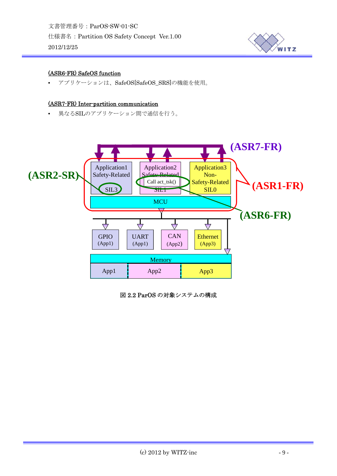文書管理番号:ParOS-SW-01-SC 仕様書名:Partition OS Safety Concept Ver.1.00 2012/12/25



## (ASR6-FR) SafeOS function

• アプリケーションは、SafeOS[SafeOS\_SRS]の機能を使用。

#### (ASR7-FR) Inter-partition communication

• 異なるSILのアプリケーション間で通信を行う。



<span id="page-8-0"></span>図 2.2 ParOS の対象システムの構成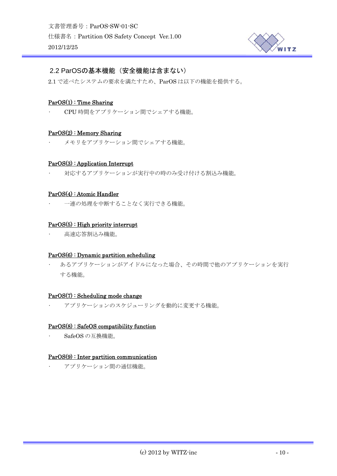

## <span id="page-9-0"></span>2.2 ParOSの基本機能(安全機能は含まない)

2.1 で述べたシステムの要求を満たすため、ParOS は以下の機能を提供する。

#### ParOS(1) : Time Sharing

• CPU 時間をアプリケーション間でシェアする機能。

#### ParOS(2) : Memory Sharing

• メモリをアプリケーション間でシェアする機能。

#### ParOS(3) : Application Interrupt

• 対応するアプリケーションが実行中の時のみ受け付ける割込み機能。

#### ParOS(4) : Atomic Handler

• 一連の処理を中断することなく実行できる機能。

#### ParOS(5) : High priority interrupt

• 高速応答割込み機能。

#### ParOS(6) : Dynamic partition scheduling

• あるアプリケーションがアイドルになった場合、その時間で他のアプリケーションを実行 する機能。

#### ParOS(7) : Scheduling mode change

• アプリケーションのスケジューリングを動的に変更する機能。

#### ParOS(8) : SafeOS compatibility function

• SafeOS の互換機能。

#### ParOS(9) : Inter partition communication

• アプリケーション間の通信機能。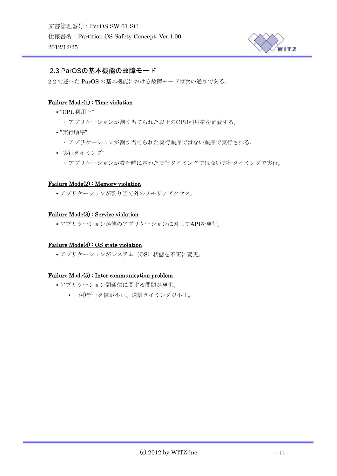

## <span id="page-10-0"></span>2.3 ParOSの基本機能の故障モード

2.2 で述べた ParOS の基本機能における故障モードは次の通りである。

## Failure Mode(1) : Time violation

- "CPU利用率"
	- アプリケーションが割り当てられた以上のCPU利用率を消費する。
- "実行順序"
	- アプリケーションが割り当てられた実行順序ではない順序で実行される。
- "実行タイミング"
	- アプリケーションが設計時に定めた実行タイミングではない実行タイミングで実行。

#### Failure Mode(2) : Memory violation

• アプリケーションが割り当て外のメモリにアクセス。

#### Failure Mode(3) : Service violation

• アプリケーションが他のアプリケーションに対してAPIを発行。

#### Failure Mode(4) : OS state violation

• アプリケーションがシステム (OS) 状態を不正に変更。

#### Failure Mode(5) : Inter communication problem

- アプリケーション間通信に関する問題が発生。
	- 例)データ値が不正、送信タイミングが不正。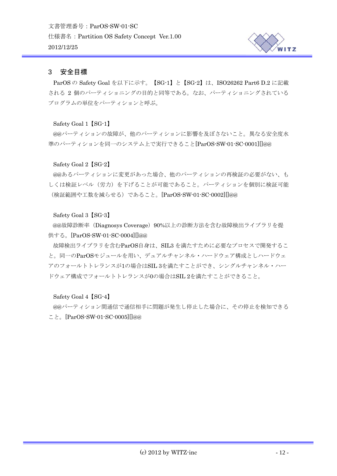

## <span id="page-11-0"></span>3 安全目標

ParOS の Safety Goal を以下に示す。【SG-1】と【SG-2】は、ISO26262 Part6 D.2 に記載 される 2 個のパーティショニングの目的と同等である。なお、パーティショニングされている プログラムの単位をパーティションと呼ぶ。

Safety Goal 1【SG-1】

@@パーティションの故障が、他のパーティションに影響を及ぼさないこと。異なる安全度水 準のパーティションを同一のシステム上で実行できること[ParOS-SW-01-SC-0001][]@@

## Safety Goal 2【SG-2】

@@あるパーティションに変更があった場合、他のパーティションの再検証の必要がない、も しくは検証レベル(労力)を下げることが可能であること。パーティションを個別に検証可能 (検証範囲や工数を減らせる)であること。[ParOS-SW-01-SC-0002][]@@

## Safety Goal 3【SG-3】

@@故障診断率 (Diagnosys Coverage) 90%以上の診断方法を含む故障検出ライブラリを提 供する。[ParOS-SW-01-SC-0004][]@@

故障検出ライブラリを含むParOS自身は、SIL3 を満たすために必要なプロセスで開発するこ と。同一のParOSモジュールを用い、デュアルチャンネル・ハードウェア構成としハードウェ アのフォールトトレランスが1の場合はSIL 3を満たすことができ、シングルチャンネル・ハー ドウェア構成でフォールトトレランスが0の場合はSIL 2を満たすことができること。

#### Safety Goal 4【SG-4】

@@パーティション間通信で通信相手に問題が発生し停止した場合に、その停止を検知できる こと。[ParOS-SW-01-SC-0005][]@@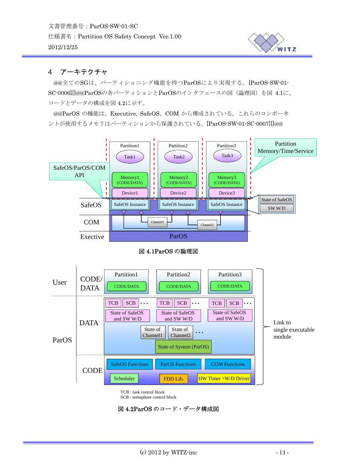

## <span id="page-12-0"></span>4 アーキテクチャ

@@全てのSGは、パーティショニング機能を持つParOSにより実現する。[ParOS-SW-01- SC-0006][]@@ParOSの各パーティションとParOSのインタフェースの図(論理図)を[図](#page-12-1) [4.1](#page-12-1)に、 コードとデータの構成[を図](#page-12-2) [4.2](#page-12-2)に示す。

@@ParOS の機能は、Executive, SafeOS、COM から構成されている。これらのコンポーネ ントが使用するメモリはパーティションから保護されている。[ParOS-SW-01-SC-0007][]@@



図 4.1ParOS の論理図

<span id="page-12-1"></span>

TCB : task control block

SCB : semaphore control block

<span id="page-12-2"></span>図 4.2ParOS のコード・データ構成図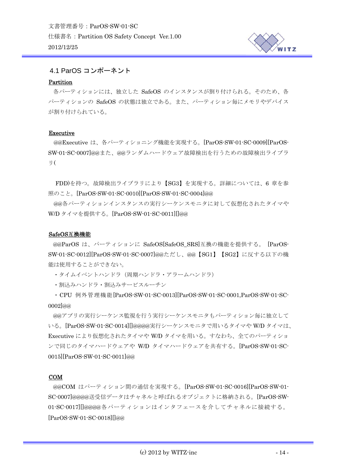

## <span id="page-13-0"></span>4.1 ParOS コンポーネント

#### Partition

各パーティションには、独立した SafeOS のインスタンスが割り付けられる。そのため、各 パーティションの SafeOS の状態は独立である。また、パーティション毎にメモリやデバイス が割り付けられている。

#### Executive

@@Executive は、各パーティショニング機能を実現する。[ParOS-SW-01-SC-0009][ParOS-SW-01-SC-0007]@@また、@@ランダムハードウェア故障検出を行うための故障検出ライブラ リ(

 FDD)を持つ。故障検出ライブラリにより【SG3】を実現する。詳細については、6 章を参 照のこと。[ParOS-SW-01-SC-0010][ParOS-SW-01-SC-0004]@@

各パーティションインスタンスの実行シーケンスモニタに対して仮想化されたタイマや @@ W/D タイマを提供する。[ParOS-SW-01-SC-0011][]@@

#### SafeOS互換機能

@@ParOS は、パーティションに SafeOS[SafeOS SRS]互換の機能を提供する。 [ParOS-SW-01-SC-0012][ParOS-SW-01-SC-0007]@@ただし、@@【SG1】【SG2】に反する以下の機 能 は使用することができない。

・タイムイベントハンドラ(周期ハンドラ・アラームハンドラ)

•割込みハンドラ・割込みサービスルーチン

・CPU 例外管理機能[ParOS-SW-01-SC-0013][ParOS-SW-01-SC-0001,ParOS-SW-01-SC-0002]@@

Executive により仮想化されたタイマや W/D タイマを用いる。すなわち、全てのパーティショ で同じのタイマハードウェアや W/D タイマハードウェアを共有する。[ParOS-SW-01-SC-ン 0015][ParOS-SW-01-SC-0011]@@ @@アプリの実行シーケンス監視を行う実行シーケンスモニタもパーティション毎に独立して いる。[ParOS-SW-01-SC-0014][]@@@@実行シーケンスモニタで用いるタイマや W/D タイマは、

#### COM

@@COM はパーティション間の通信を実現する。[ParOS-SW-01-SC-0016][ParOS-SW-01- SC-0007]@@@@送受信データはチャネルと呼ばれるオブジェクトに格納される。[ParOS-SW-01-SC-0017][]@@@@各パーティションはインタフェースを介してチャネルに接続する。 [ParOS-SW-01-SC-0018][]@@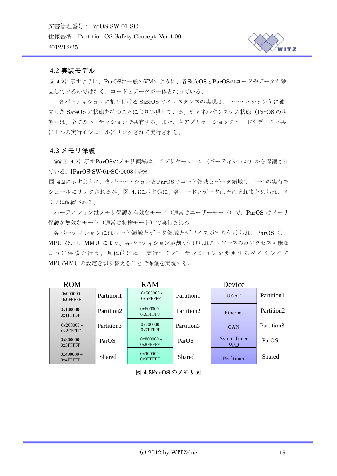

## <span id="page-14-0"></span>4.2 実装モデル

図 4 .2に示すように、ParOSは一般のVMのように、各SafeOSとParOSのコードやデータが独 立しているのではなく、コードとデータが一体となっている。

各パーティションに割り付ける SafeOS のインスタンスの実現は、パーティション毎に独 立した SafeOS の状態を持つことにより実現している。チャネルやシステム状態(ParOS の状 熊)は、全てのパーティションで共有する。また、各アプリケーションのコードやデータと共 に1つの実行モジュールにリンクされて実行される。

## 4.3 メモリ保護

@@図 4.2に示すParOSのメモリ領域は、アプリケーション(パーティション)から保護され ている。[ParOS-SW-01-SC-0008][]@@

図 4.2に示すように、各パーティションとParOSのコード領域とデータ領域は、一つの実行モ ジュールにリンクされるが、図 4.3に示す様に、各コードとデータはそれぞれまとめられ、メ モリに配置される。

パーティションはメモリ保護が有効なモード(通常はユーザーモード)で、ParOS はメモリ 保護が無効なモード(通常は特権モード)で実行される。

各パーティションにはコード領域とデータ領域とデバイスが割り付けられ、ParOS は、 MPU ないし MMU により、各パーティションが割り付けられたリソースのみアクセス可能な ように保護を行う。具体的には、実行するパーティションを変更するタイミングで MPU/MMU の設定を切り替えることで保護を実現する。



図 4.3ParOS のメモリ図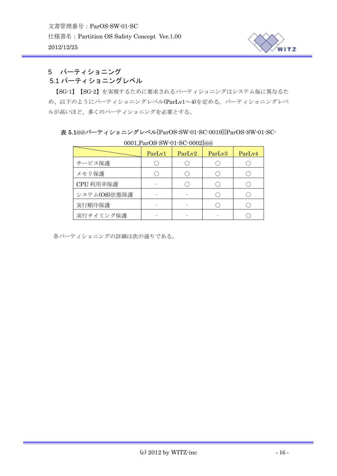

# <span id="page-15-0"></span>5 パーティショニング

# 5.1 パーティショニングレベル

【SG-1】【SG-2】を実現するために要求されるパーティショニングはシステム毎に異なるた め、以下のようにパーティショニングレベル(ParLv1~4)を定める。パーティショニングレベ ルが高いほど、多くのパーティショニングを必要とする。

## 表 5.1@@パーティショニングレベル[ParOS-SW-01-SC-0019][ParOS-SW-01-SC-

| UUUL,E dI UO O W UL OU UUULJWW |        |        |        |        |  |
|--------------------------------|--------|--------|--------|--------|--|
|                                | ParLv1 | ParLv2 | ParLv3 | ParLv4 |  |
| サービス保護                         |        |        |        |        |  |
| メモリ保護                          |        |        |        |        |  |
| CPU 利用率保護                      |        |        |        |        |  |
| システム(OS)状態保護                   |        |        |        |        |  |
| 実行順序保護                         |        |        |        |        |  |
| 実行タイミング保護                      |        |        |        |        |  |

## 0001,ParOS-SW-01-SC-0002]@@

各パーティショニングの詳細は次の通りである。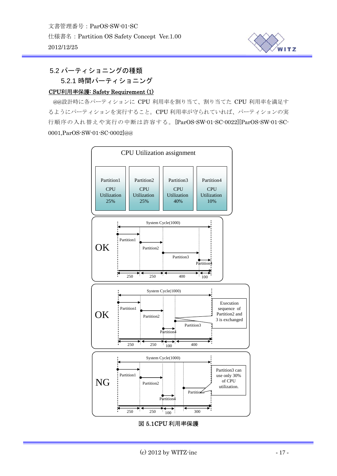

<span id="page-16-0"></span>5.2 パーティショニングの種類

## 5.2.1 時間パーティショニング

## CPU利用率保護: Safety Requirement (1)

@@設計時に各パーティションに CPU 利用率を割り当て、割り当てた CPU 利用率を満足す るようにパーティションを実行すること。CPU 利用率が守られていれば、パーティションの実 行順序の入れ替えや実行の中断は許容する。[ParOS-SW-01-SC-0022][ParOS-SW-01-SC-0001,ParOS-SW-01-SC-0002]@@



#### 図 5.1CPU 利用率保護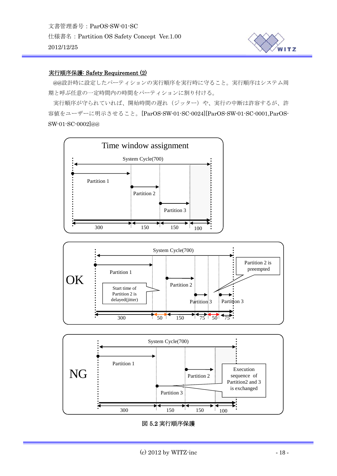

#### 実行順序保護: Safety Requirement (2)

@@設計時に設定したパーティションの実行順序を実行時に守ること。実行順序はシステム周 期と呼ぶ任意の一定時間内の時間をパーティションに割り付ける。

実行順序が守られていれば、開始時間の遅れ(ジッター)や、実行の中断は許容するが、許 容値をユーザーに明示させること。[ParOS-SW-01-SC-0024][ParOS-SW-01-SC-0001,ParOS-SW-01-SC-0002]@@







#### 図 5.2 実行順序保護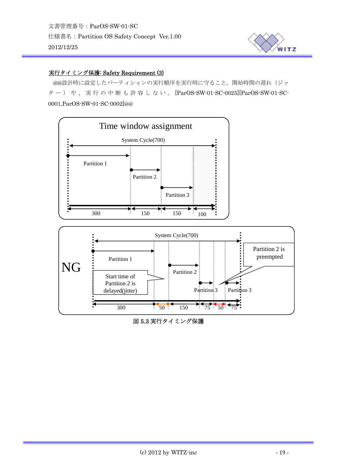

## 実行タイミング保護: Safety Requirement (3)

@@設計時に設定したパーティションの実行順序を実行時に守ること。開始時間の遅れ(ジッ ター)や、実行の中断も許容しない。 [ParOS-SW-01-SC-0025][ParOS-SW-01-SC-0001,ParOS-SW-01-SC-0002]@@



図 5.3 実行タイミング保護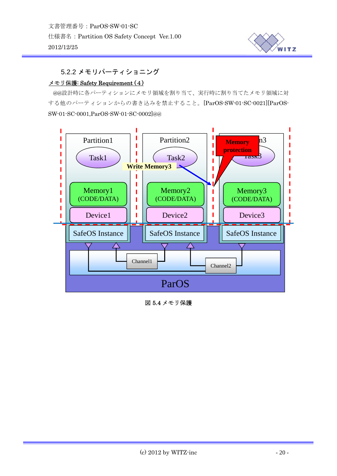

## <span id="page-19-0"></span>5.2.2 メモリパーティショニング

#### メモリ保護: Safety Requirement (4)

@@設計時に各パーティションにメモリ領域を割り当て、実行時に割り当てたメモリ領域に対 する他のパーティションからの書き込みを禁止すること。[ParOS-SW-01-SC-0021][ParOS-SW-01-SC-0001,ParOS-SW-01-SC-0002]@@



図 5.4 メモリ保護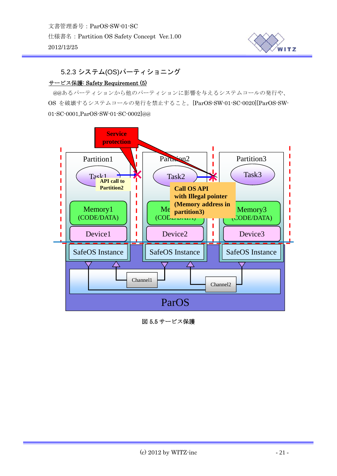

# <span id="page-20-0"></span>5.2.3 システム(OS)パーティショニング

#### サービス保護: Safety Requirement (5)

@@あるパーティションから他のパーティションに影響を与えるシステムコールの発行や、 OS を破壊するシステムコールの発行を禁止すること。[ParOS-SW-01-SC-0020][ParOS-SW-01-SC-0001,ParOS-SW-01-SC-0002]@@



図 5.5 サービス保護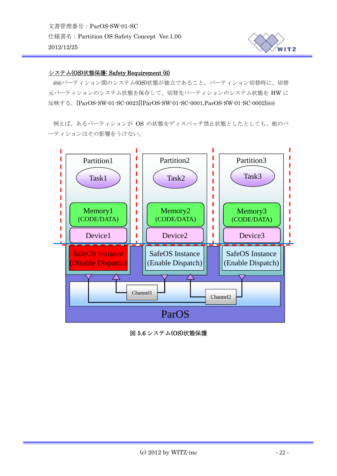

#### システム(OS)状態保護: Safety Requirement (6)

@@パーティション間のシステム(OS)状態が独立であること。パーティション切替時に、切替 元パーティションのシステム状態を保存して、切替先パーティションのシステム状態を HW に 反映する。[ParOS-SW-01-SC-0023][ParOS-SW-01-SC-0001,ParOS-SW-01-SC-0002]@@

例えば、あるパーティションが OS の状態をディスパッチ禁止状態としたとしても、他のパ ーティションはその影響をうけない。



図 5.6 システム(OS)状態保護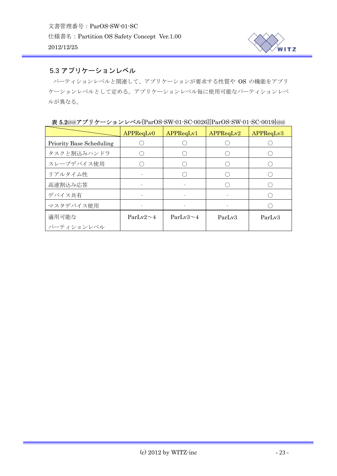

# <span id="page-22-0"></span>5.3 アプリケーションレベル

パーティションレベルと関連して、アプリケーションが要求する性質や OS の機能をアプリ ケーションレベルとして定める。アプリケーションレベル毎に使用可能なパーティションレベ ルが異なる。

| $\sim$ 0.4997 / / /<br>V HV V TEALON NJI VE NO VOLVILE ALON NJI VE NO VOLVINSS |                 |                 |           |           |  |  |
|--------------------------------------------------------------------------------|-----------------|-----------------|-----------|-----------|--|--|
|                                                                                | APPReqLv0       | APPReqLv1       | APPReqLv2 | APPReqLv3 |  |  |
| <b>Priority Base Scheduling</b>                                                |                 |                 |           |           |  |  |
| タスクと割込みハンドラ                                                                    |                 |                 |           |           |  |  |
| スレーブデバイス使用                                                                     |                 |                 |           |           |  |  |
| リアルタイム性                                                                        |                 |                 |           |           |  |  |
| 高速割込み応答                                                                        |                 |                 |           |           |  |  |
| デバイス共有                                                                         |                 |                 |           |           |  |  |
| マスタデバイス使用                                                                      |                 |                 |           |           |  |  |
| 適用可能な                                                                          | $ParLv2 \sim 4$ | $ParLv3 \sim 4$ | ParLv3    | ParLv3    |  |  |
| パーティションレベル                                                                     |                 |                 |           |           |  |  |

表 5.2@@アプリケーションレベル[ParOS-SW-01-SC-0026][ParOS-SW-01-SC-0019]@@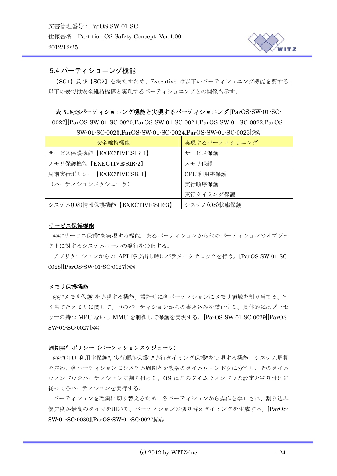

## <span id="page-23-0"></span>5.4 パーティショニング機能

【SG1】及び【SG2】を満たすため、Executive は以下のパーティショニング機能を要する。 以下の表では安全維持機構と実現するパーティショニングとの関係も示す。

#### 表 5.3@@パーティショニング機能と実現するパーティショニング[ParOS-SW-01-SC-

0027][ParOS-SW-01-SC-0020,ParOS-SW-01-SC-0021,ParOS-SW-01-SC-0022,ParOS-

| 安全維持機能                         | 実現するパーティショニング |
|--------------------------------|---------------|
| サービス保護機能【EXECTIVE:SIR-1】       | サービス保護        |
| メモリ保護機能【EXECTIVE:SIR-2】        | メモリ保護         |
| 周期実行ポリシー【EXECTIVE:SR-1】        | CPU 利用率保護     |
| (パーティションスケジューラ)                | 実行順序保護        |
|                                | 実行タイミング保護     |
| システム(OS)情報保護機能【EXECTIVE:SIR-3】 | システム(OS)状態保護  |

SW-01-SC-0023,ParOS-SW-01-SC-0024,ParOS-SW-01-SC-0025]@@

#### サービス保護機能

@@"サービス保護"を実現する機能。あるパーティションから他のパーティションのオブジェ クトに対するシステムコールの発行を禁止する。

アプリケーションからの API 呼び出し時にパラメータチェックを行う。[ParOS-SW-01-SC-0028][ParOS-SW-01-SC-0027]@@

#### メモリ保護機能

@@"メモリ保護"を実現する機能。設計時に各パーティションにメモリ領域を割り当てる。割 り当てたメモリに関して、他のパーティションからの書き込みを禁止する。具体的にはプロセ ッサの持つ MPU ないし MMU を制御して保護を実現する。[ParOS-SW-01-SC-0029][ParOS-SW-01-SC-0027]@@

#### 周期実行ポリシー(パーティションスケジューラ)

@@"CPU 利用率保護","実行順序保護","実行タイミング保護"を実現する機能。システム周期 を定め、各パーティションにシステム周期内を複数のタイムウィンドウに分割し、そのタイム ウィンドウをパーティションに割り付ける。OS はこのタイムウィンドウの設定と割り付けに 従って各パーティションを実行する。

パーティションを確実に切り替えるため、各パーティションから操作を禁止され、割り込み 優先度が最高のタイマを用いて、パーティションの切り替えタイミングを生成する。[ParOS-SW-01-SC-0030][ParOS-SW-01-SC-0027]@@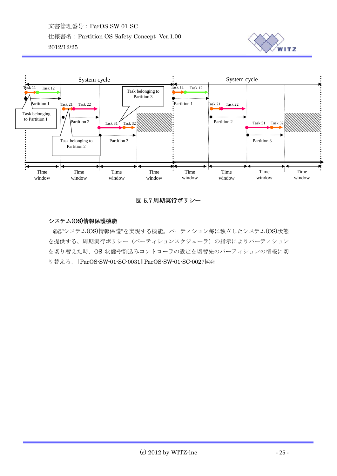



## 図 5.7 周期実行ポリシー

## システム(OS)情報保護機能

@@"システム(OS)情報保護"を実現する機能。パーティション毎に独立したシステム(OS)状態 を提供する。周期実行ポリシー(パーティションスケジューラ)の指示によりパーティション を切り替えた時、OS 状態や割込みコントローラの設定を切替先のパーティションの情報に切 り替える。 [ParOS-SW-01-SC-0031][ParOS-SW-01-SC-0027]@@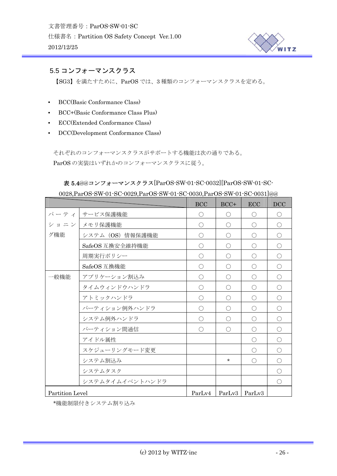

# <span id="page-25-0"></span>5.5 コンフォーマンスクラス

【SG3】を満たすために、ParOS では、3 種類のコンフォーマンスクラスを定める。

- BCC(Basic Conformance Class)
- BCC+(Basic Conformance Class Plus)
- ECC(Extended Conformance Class)
- DCC(Development Conformance Class)

それぞれのコンフォーマンスクラスがサポートする機能は次の通りである。 ParOS の実装はいずれかのコンフォーマンスクラスに従う。

# 表 5.4@@コンフォーマンスクラス[ParOS-SW-01-SC-0032][ParOS-SW-01-SC-

|                 |                  | BCC        | $BCC+$          | ECC        | DCC        |
|-----------------|------------------|------------|-----------------|------------|------------|
|                 | パーティ   サービス保護機能  | $\bigcirc$ | $\bigcirc$      | $\bigcirc$ | $\bigcirc$ |
|                 | ショニン メモリ保護機能     | $\bigcirc$ | $\bigcirc$      | $\bigcirc$ | $\bigcirc$ |
| グ機能             | システム (OS) 情報保護機能 | $\bigcirc$ | $\bigcirc$      | $\bigcirc$ | $\bigcirc$ |
|                 | SafeOS 互換安全維持機能  | $\bigcirc$ | $\bigcirc$      | $\bigcirc$ | $\bigcirc$ |
|                 | 周期実行ポリシー         | $\bigcirc$ | $\bigcirc$      | $\bigcirc$ | $\bigcirc$ |
|                 | SafeOS 互換機能      | $\bigcirc$ | $\bigcirc$      | $\bigcirc$ | $\bigcirc$ |
| 一般機能            | アプリケーション割込み      | $\bigcirc$ | $\bigcirc$      | $\bigcirc$ | $\bigcirc$ |
|                 | タイムウィンドウハンドラ     | $\bigcirc$ | ∩               | $\bigcap$  | $\bigcirc$ |
|                 | アトミックハンドラ        | $\bigcirc$ | ∩               | $\bigcirc$ | $\bigcirc$ |
|                 | パーティション例外ハンドラ    | $\bigcirc$ | ∩               | $\bigcirc$ | $\bigcirc$ |
|                 | システム例外ハンドラ       | ∩          | ∩               | $\bigcap$  | $\bigcirc$ |
|                 | パーティション間通信       | $\bigcap$  | ◯               | $\bigcirc$ | $\bigcirc$ |
|                 | アイドル属性           |            |                 | $\bigcirc$ | O          |
|                 | スケジューリングモード変更    |            |                 | $\bigcap$  | O          |
|                 | システム割込み          |            | $\star$         | $\bigcap$  | $\bigcirc$ |
|                 | システムタスク          |            |                 |            | O          |
|                 | システムタイムイベントハンドラ  |            |                 |            | $\bigcirc$ |
| Partition Level |                  | ParLv4     | ParLv3   ParLv3 |            |            |

0028,ParOS-SW-01-SC-0029,ParOS-SW-01-SC-0030,ParOS-SW-01-SC-0031]@@

\*機能制限付きシステム割り込み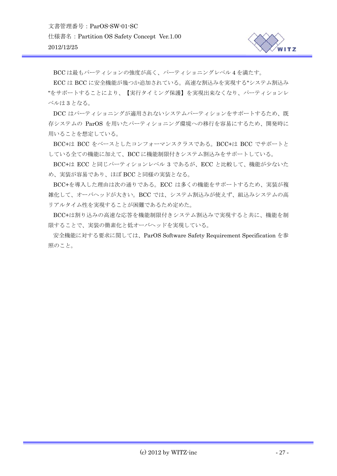BCC は最もパーティションの強度が高く、パーティショニングレベル 4 を満たす。

ECC は BCC に安全機能が幾つか追加されている。高速な割込みを実現する"システム割込み "をサポートすることにより、【実行タイミング保護】を実現出来なくなり、パーティションレ ベルは 3 となる。

DCC はパーティショニングが適用されないシステムパーティションをサポートするため、既 存システムの ParOS を用いたパーティショニング環境への移行を容易にするため、開発時に 用いることを想定している。

BCC+は BCC をベースとしたコンフォーマンスクラスである。BCC+は BCC でサポートと している全ての機能に加えて、BCC に機能制限付きシステム割込みをサポートしている。

BCC+は ECC と同じパーティションレベル 3 であるが、ECC と比較して、機能が少ないた め、実装が容易であり、ほぼ BCC と同様の実装となる。

BCC+を導入した理由は次の通りである。ECC は多くの機能をサポートするため、実装が複 雑化して、オーバヘッドが大きい。BCC では、システム割込みが使えず、組込みシステムの高 リアルタイム性を実現することが困難であるため定めた。

BCC+は割り込みの高速な応答を機能制限付きシステム割込みで実現すると共に、機能を制 限することで、実装の簡素化と低オーバヘッドを実現している。

安全機能に対する要求に関しては、ParOS Software Safety Requirement Specification を参 照のこと。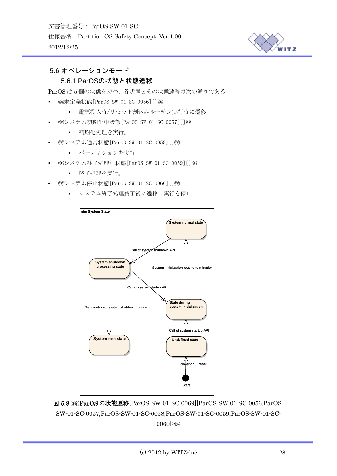

## <span id="page-27-0"></span>5.6 オペレーションモード

## 5.6.1 ParOSの状態と状態遷移

ParOS は 5 個の状態を持つ。各状態とその状態遷移は次の通りである。

- @@未定義状態[ParOS-SW-01-SC-0056][]@@
	- 電源投入時/リセット割込みルーチン実行時に遷移
- @@システム初期化中状態[ParOS-SW-01-SC-0057][]@@
	- 初期化処理を実行。
- @@システム通常状態[ParOS-SW-01-SC-0058][]@@
	- パーティションを実行
- @@システム終了処理中状態[ParOS-SW-01-SC-0059][]@@
	- 終了処理を実行。
- @@システム停止状態[ParOS-SW-01-SC-0060][]@@
	- システム終了処理終了後に遷移。実行を停止



図 5.8 @@ParOS の状態遷移[ParOS-SW-01-SC-0069][ParOS-SW-01-SC-0056,ParOS-SW-01-SC-0057,ParOS-SW-01-SC-0058,ParOS-SW-01-SC-0059,ParOS-SW-01-SC-0060]@@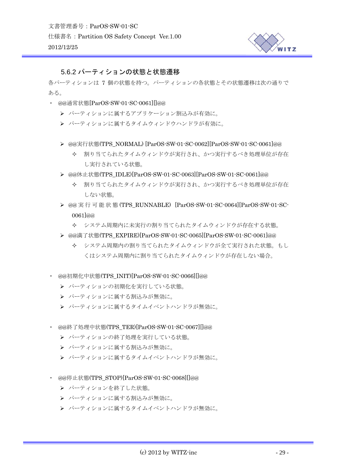

## <span id="page-28-0"></span>5.6.2 パーティションの状態と状態遷移

各パーティションは 7 個の状態を持つ。パーティションの各状態とその状態遷移は次の通りで ある。

- ・ @@通常状態[ParOS-SW-01-SC-0061][]@@
	- ¾ パーティションに属するアプリケーション割込みが有効に。
	- ¾ パーティションに属するタイムウィンドウハンドラが有効に。
	- ¾ @@実行状態(TPS\_NORMAL) [ParOS-SW-01-SC-0062][ParOS-SW-01-SC-0061]@@
		- 割り当てられたタイムウィンドウが実行され、かつ実行するべき処理単位が存在 し実行されている状態。
	- ¾ @@休止状態(TPS\_IDLE)[ParOS-SW-01-SC-0063][ParOS-SW-01-SC-0061]@@
		- 割り当てられたタイムウィンドウが実行され、かつ実行するべき処理単位が存在 しない状態。
	- ¾ @@ 実行可能状態 (TPS\_RUNNABLE) [ParOS-SW-01-SC-0064][ParOS-SW-01-SC-0061]@@
		- システム周期内に未実行の割り当てられたタイムウィンドウが存在する状態。
	- ¾ @@満了状態(TPS\_EXPIRE)[ParOS-SW-01-SC-0065][ParOS-SW-01-SC-0061]@@
		- システム周期内の割り当てられたタイムウィンドウが全て実行された状態。もし くはシステム周期内に割り当てられたタイムウィンドウが存在しない場合。
- ・ @@初期化中状態(TPS\_INIT)[ParOS-SW-01-SC-0066][]@@
	- ▶ パーティションの初期化を実行している状態。
	- ▶ パーティションに属する割込みが無効に。
	- ▶ パーティションに属するタイムイベントハンドラが無効に。
- ・ @@終了処理中状態(TPS\_TER)[ParOS-SW-01-SC-0067][]@@
	- ▶ パーティションの終了処理を実行している状態。
	- ¾ パーティションに属する割込みが無効に。
	- ▶ パーティションに属するタイムイベントハンドラが無効に。
- ・ @@停止状態(TPS\_STOP)[ParOS-SW-01-SC-0068][]@@
	- ▶ パーティションを終了した状態。
	- ▶ パーティションに属する割込みが無効に。
	- ▶ パーティションに属するタイムイベントハンドラが無効に。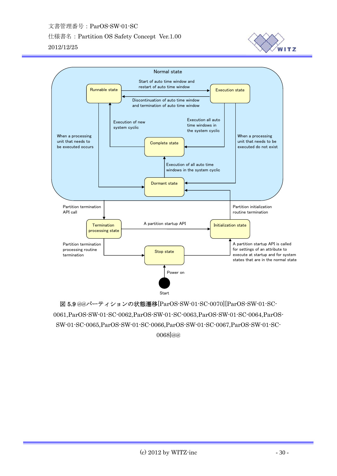文書管理番号:ParOS-SW-01-SC 仕様書名:Partition OS Safety Concept Ver.1.00 2012/12/25





図 5.9 @@パーティションの状態遷移[ParOS-SW-01-SC-0070][ParOS-SW-01-SC-0061,ParOS-SW-01-SC-0062,ParOS-SW-01-SC-0063,ParOS-SW-01-SC-0064,ParOS-SW-01-SC-0065,ParOS-SW-01-SC-0066,ParOS-SW-01-SC-0067,ParOS-SW-01-SC-0068]@@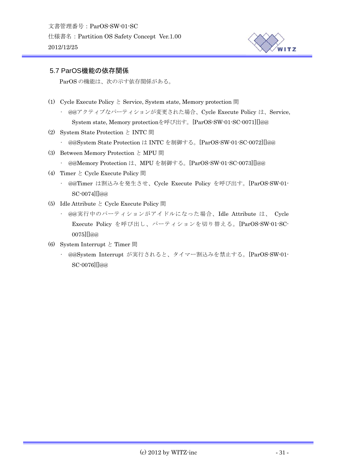

## <span id="page-30-0"></span>5.7 ParOS機能の依存関係

ParOS の機能は、次の示す依存関係がある。

- (1) Cycle Execute Policy  $\&$  Service, System state, Memory protection 間
	- @@アクティブなパーティションが変更された場合、Cycle Execute Policy は、Service, System state, Memory protectionを呼び出す。[ParOS-SW-01-SC-0071][]@@
- (2) System State Protection と INTC 間
	- @@System State Protection は INTC を制御する。[ParOS-SW-01-SC-0072][]@@
- (3) Between Memory Protection と MPU 間
	- @@Memory Protection は、MPU を制御する。[ParOS-SW-01-SC-0073][]@@
- (4) Timer  $\geq$  Cycle Execute Policy 間
	- @@Timer は割込みを発生させ、Cycle Execute Policy を呼び出す。[ParOS-SW-01- SC-0074][]@@
- (5) Idle Attribute と Cycle Execute Policy 間
	- @@実行中のパーティションがアイドルになった場合、Idle Attribute は、 Cycle Execute Policy を呼び出し、パーティションを切り替える。[ParOS-SW-01-SC-0075][]@@
- (6) System Interrupt と Timer 間
	- @@System Interrupt が実行されると、タイマー割込みを禁止する。[ParOS-SW-01- SC-0076][]@@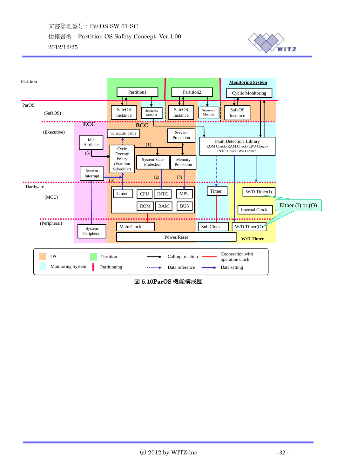



図 5.10ParOS 機能構成図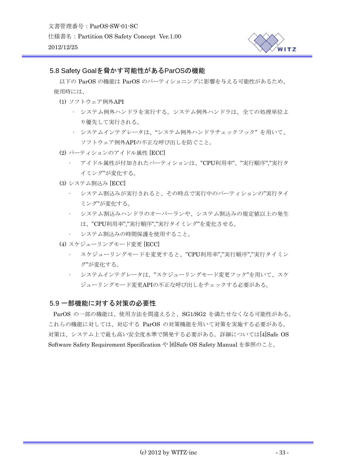

## <span id="page-32-0"></span>5.8 Safety Goalを脅かす可能性があるParOSの機能

以下の ParOS の機能は ParOS のパーティショニングに影響を与える可能性があるため、 使用時には、

- (1) ソフトウェア例外API
	- システム例外ハンドラを実行する。システム例外ハンドラは、全ての処理単位よ り優先して実行される。
	- システムインテグレータは、"システム例外ハンドラチェックフック" を用いて、 ソフトウェア例外APIの不正な呼び出しを防ぐこと。
- (2) パーティションのアイドル属性 [ECC]
	- アイドル属性が付加されたパーティションは、"CPU利用率"、"実行順序","実行タ イミング"が変化する。
- (3) システム割込み [ECC]
	- システム割込みが実行されると、その時点で実行中のパーティションの"実行タイ ミング"が変化する。
	- システム割込みハンドラのオーバーランや、システム割込みの規定値以上の発生 は、"CPU利用率","実行順序","実行タイミング"を変化させる。
	- システム割込みの時間保護を使用すること。
- (4) スケジューリングモード変更 [ECC]
	- スケジューリングモードを変更すると、"CPU利用率","実行順序","実行タイミン グ"が変化する。
	- システムインテグレータは、"スケジューリングモード変更フック"を用いて、スケ ジューリングモード変更APIの不正な呼び出しをチェックする必要がある。

## 5.9 一部機能に対する対策の必要性

ParOS の一部の機能は、使用方法を間違えると、SG1/SG2 を満たせなくなる可能性がある。 これらの機能に対しては、対応する ParOS の対策機能を用いて対策を実施する必要がある。 対策は、システム上で最も高い安全度水準で開発する必要がある。詳細については[4]Safe OS Software Safety Requirement Specification や [6]Safe OS Safety Manual を参照のこと。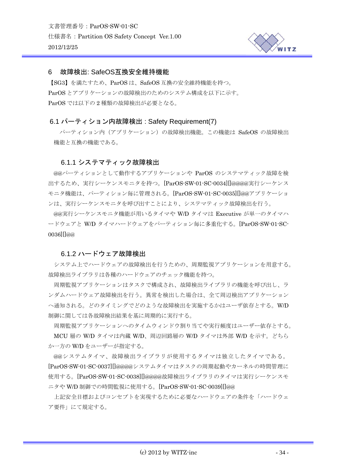

#### <span id="page-33-0"></span>6 故障検出: SafeOS互換安全維持機能

【SG3】を満たすため、ParOS は、SafeOS 互換の安全維持機能を持つ。 ParOS とアプリケーションの故障検出のためのシステム構成を以下に示す。 ParOS では以下の 2 種類の故障検出が必要となる。

#### 6.1 パーティション内故障検出 : Safety Requirement(7)

パーティション内(アプリケーション)の故障検出機能。この機能は SafeOS の故障検出 機能と互換の機能である。

#### 6.1.1 システマティック故障検出

@@パーティションとして動作するアプリケーションや ParOS のシステマティック故障を検 出するため、実行シーケンスモニタを持つ。[ParOS-SW-01-SC-0034][]@@@@実行シーケンス モニタ機能は、パーティション毎に管理される。[ParOS-SW-01-SC-0035][]@@アプリケーショ ンは、実行シーケンスモニタを呼び出すことにより、システマティック故障検出を行う。

@@実行シーケンスモニタ機能が用いるタイマや W/D タイマは Executive が単一のタイマハ ードウェアと W/D タイマハードウェアをパーティション毎に多重化する。[ParOS-SW-01-SC-0036][]@@

#### 6.1.2 ハードウェア故障検出

システム上でハードウェアの故障検出を行うための、周期監視アプリケーションを用意する。 故障検出ライブラリは各種のハードウェアのチェック機能を持つ。

周期監視アプリケーションはタスクで構成され、故障検出ライブラリの機能を呼び出し、ラ ンダムハードウェア故障検出を行う。異常を検出した場合は、全て周辺検出アプリケーション へ通知される。どのタイミングでどのような故障検出を実施するかはユーザ依存とする。W/D 制御に関しては各故障検出結果を基に周期的に実行する。

周期監視アプリケーションへのタイムウィンドウ割り当てや実行頻度はユーザー依存とする。 MCU 層の W/D タイマは内蔵 W/D、周辺回路層の W/D タイマは外部 W/D を示す。どちら か一方の W/D をユーザーが指定する。

@@システムタイマ、故障検出ライブラリが使用するタイマは独立したタイマである。 [ParOS-SW-01-SC-0037][]@@@@システムタイマはタスクの周期起動やカーネルの時間管理に 使用する。[ParOS-SW-01-SC-0038][]@@@@故障検出ライブラリのタイマは実行シーケンスモ ニタや W/D 制御での時間監視に使用する。[ParOS-SW-01-SC-0039][]@@

上記安全目標およびコンセプトを実現するために必要なハードウェアの条件を「ハードウェ ア要件」にて規定する。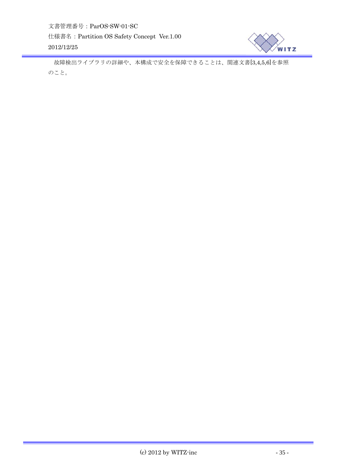

故障検出ライブラリの詳細や、本構成で安全を保障できることは、関連文書[3,4,5,6]を参照 のこと。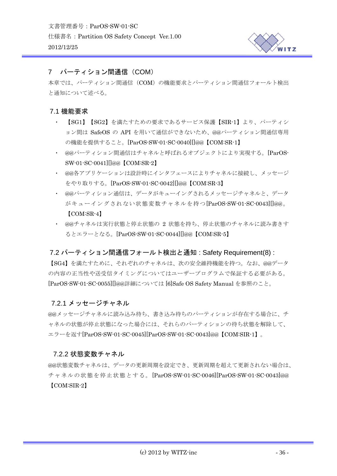

## <span id="page-35-0"></span>7 パーティション間通信(COM)

本章では、パーティション間通信(COM)の機能要求とパーティション間通信フォールト検出 と通知について述べる。

## 7.1 機能要求

- ・ 【SG1】【SG2】を満たすための要求であるサービス保護【SIR-1】より、パーティシ ョン間は SafeOS の API を用いて通信ができないため、@@パーティション間通信専用 の機能を提供すること。[ParOS-SW-01-SC-0040][]@@【COM:SR-1】
- ・ @@パーティション間通信はチャネルと呼ばれるオブジェクトにより実現する。[ParOS-SW-01-SC-0041][]@@【COM:SR-2】
- ・ @@各アプリケーションは設計時にインタフェースによりチャネルに接続し、メッセージ をやり取りする。[ParOS-SW-01-SC-0042][]@@【COM:SR-3】
- ・ @@パーティション通信は、データがキューイングされるメッセージチャネルと、データ がキューイングされない状態変数チャネルを持つ[ParOS-SW-01-SC-0043][]@@。 【COM:SR-4】
- ・ @@チャネルは実行状態と停止状態の 2 状態を持ち、停止状態のチャネルに読み書きす るとエラーとなる。[ParOS-SW-01-SC-0044][]@@【COM:SR-5】

## 7.2 パーティション間通信フォールト検出と通知 : Safety Requirement(8) :

【SG4】を満たすために、それぞれのチャネルは、次の安全維持機能を持つ。なお、@@データ の内容の正当性や送受信タイミングについてはユーザープログラムで保証する必要がある。 [ParOS-SW-01-SC-0055][]@@詳細については [6]Safe OS Safety Manual を参照のこと。

## 7.2.1 メッセージチャネル

@@メッセージチャネルに読み込み待ち、書き込み待ちのパーティションが存在する場合に、チ ャネルの状態が停止状態になった場合には、それらのパーティションの待ち状態を解除して、 エラーを返す[ParOS-SW-01-SC-0045][ParOS-SW-01-SC-0043]@@【COM:SIR-1】。

## 7.2.2 状態変数チャネル

@@状態変数チャネルは、データの更新周期を設定でき、更新周期を超えて更新されない場合は、 チャネルの状態を停止状態とする。[ParOS-SW-01-SC-0046][ParOS-SW-01-SC-0043]@@ 【COM:SIR-2】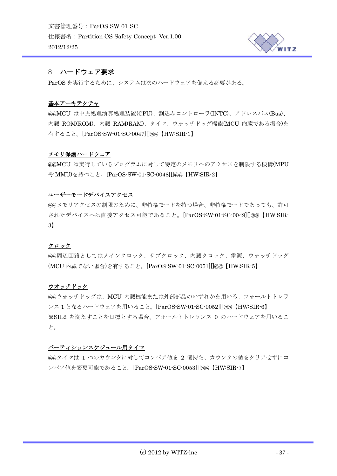

## <span id="page-36-0"></span>8 ハードウェア要求

ParOS を実行するために、システムは次のハードウェアを備える必要がある。

## 基本アーキテクチャ

@@MCU は中央処理演算処理装置(CPU)、割込みコントローラ(INTC)、アドレスバス(Bus)、 内蔵 ROM(ROM)、内蔵 RAM(RAM)、タイマ、ウォッチドッグ機能(MCU 内蔵である場合)を 有すること。[ParOS-SW-01-SC-0047][]@@【HW:SIR-1】

#### メモリ保護ハードウェア

@@MCU は実行しているプログラムに対して特定のメモリへのアクセスを制限する機構(MPU や MMU)を持つこと。[ParOS-SW-01-SC-0048][]@@【HW:SIR-2】

## ユーザーモードデバイスアクセス

@@メモリアクセスの制限のために、非特権モードを持つ場合、非特権モードであっても、許可 されたデバイスへは直接アクセス可能であること。[ParOS-SW-01-SC-0049][]@@【HW:SIR-3】

#### クロック

@@周辺回路としてはメインクロック、サブクロック、内蔵クロック、電源、ウォッチドッグ (MCU 内蔵でない場合)を有すること。[ParOS-SW-01-SC-0051][]@@【HW:SIR-5】

#### ウオッチドック

@@ウォッチドッグは、MCU 内蔵機能または外部部品のいずれかを用いる。フォールトトレラ ンス 1 となるハードウェアを用いること。[ParOS-SW-01-SC-0052][]@@【HW:SIR-6】 ※SIL2 を満たすことを目標とする場合、フォールトトレランス 0 のハードウェアを用いるこ と。

## パーティションスケジュール用タイマ

@@タイマは 1 つのカウンタに対してコンペア値を 2 個持ち、カウンタの値をクリアせずにコ ンペア値を変更可能であること。[ParOS-SW-01-SC-0053][]@@【HW:SIR-7】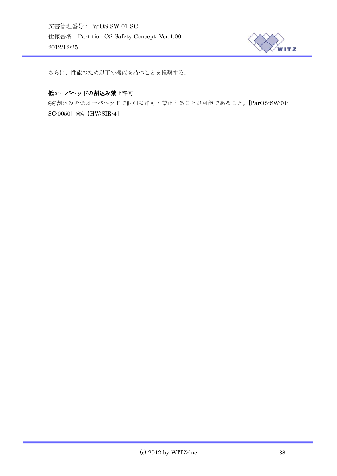

さらに、性能のため以下の機能を持つことを推奨する。

#### 低オーバヘッドの割込み禁止許可

@@割込みを低オーバヘッドで個別に許可・禁止することが可能であること。[ParOS-SW-01- SC-0050][]@@【HW:SIR-4】